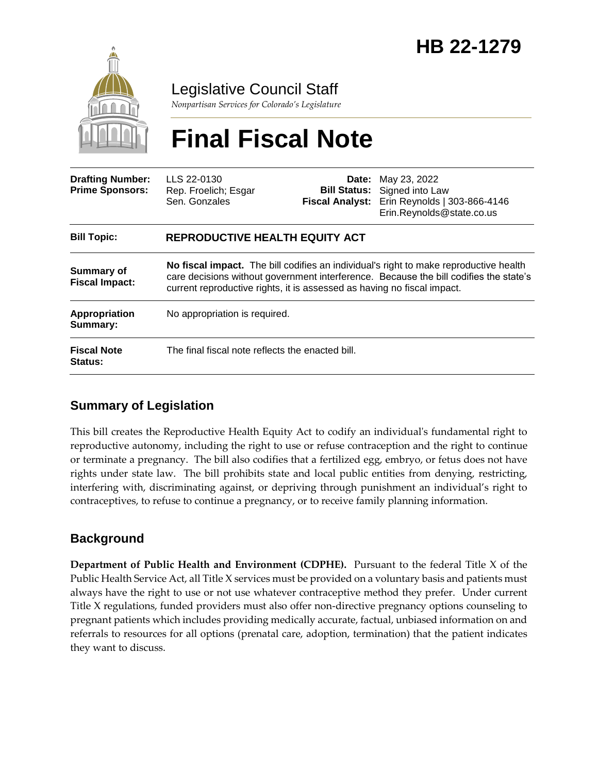

Legislative Council Staff

*Nonpartisan Services for Colorado's Legislature*

# **Final Fiscal Note**

| <b>Drafting Number:</b><br><b>Prime Sponsors:</b> | LLS 22-0130<br>Rep. Froelich; Esgar<br>Sen. Gonzales                                                                                                                                                                                                      | Date:<br><b>Bill Status:</b><br><b>Fiscal Analyst:</b> | May 23, 2022<br>Signed into Law<br>Erin Reynolds   303-866-4146<br>Erin.Reynolds@state.co.us |
|---------------------------------------------------|-----------------------------------------------------------------------------------------------------------------------------------------------------------------------------------------------------------------------------------------------------------|--------------------------------------------------------|----------------------------------------------------------------------------------------------|
| <b>Bill Topic:</b>                                | <b>REPRODUCTIVE HEALTH EQUITY ACT</b>                                                                                                                                                                                                                     |                                                        |                                                                                              |
| <b>Summary of</b><br><b>Fiscal Impact:</b>        | No fiscal impact. The bill codifies an individual's right to make reproductive health<br>care decisions without government interference. Because the bill codifies the state's<br>current reproductive rights, it is assessed as having no fiscal impact. |                                                        |                                                                                              |
| Appropriation<br>Summary:                         | No appropriation is required.                                                                                                                                                                                                                             |                                                        |                                                                                              |
| <b>Fiscal Note</b><br><b>Status:</b>              | The final fiscal note reflects the enacted bill.                                                                                                                                                                                                          |                                                        |                                                                                              |

### **Summary of Legislation**

This bill creates the Reproductive Health Equity Act to codify an individual's fundamental right to reproductive autonomy, including the right to use or refuse contraception and the right to continue or terminate a pregnancy. The bill also codifies that a fertilized egg, embryo, or fetus does not have rights under state law. The bill prohibits state and local public entities from denying, restricting, interfering with, discriminating against, or depriving through punishment an individual's right to contraceptives, to refuse to continue a pregnancy, or to receive family planning information.

## **Background**

**Department of Public Health and Environment (CDPHE).** Pursuant to the federal Title X of the Public Health Service Act, all Title X services must be provided on a voluntary basis and patients must always have the right to use or not use whatever contraceptive method they prefer. Under current Title X regulations, funded providers must also offer non-directive pregnancy options counseling to pregnant patients which includes providing medically accurate, factual, unbiased information on and referrals to resources for all options (prenatal care, adoption, termination) that the patient indicates they want to discuss.